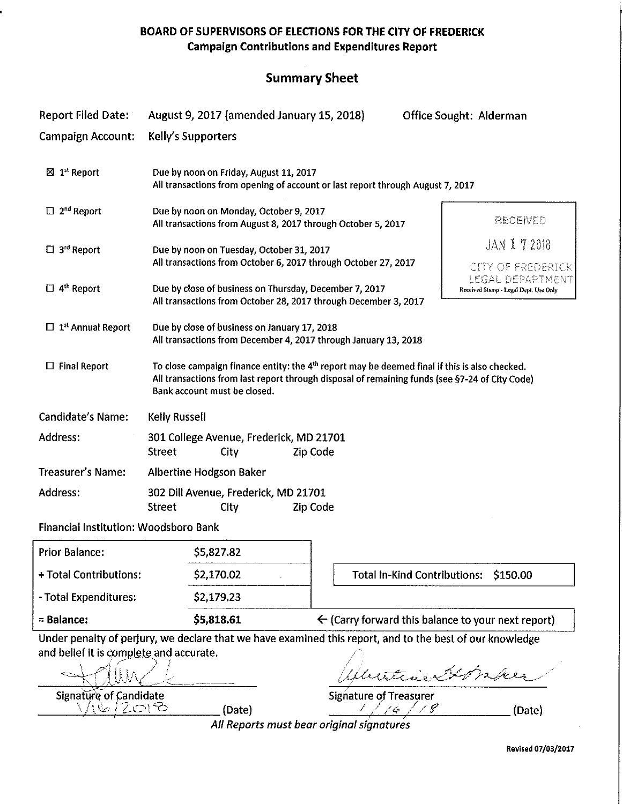BOARD OF SUPERVISORS OF ELECTIONS FOR THE CITY OF FREDERICK Campaign Contributions and Expenditures Report

# Summary Sheet

| <b>Report Filed Date:</b>                                                                       | August 9, 2017 (amended January 15, 2018)                                                                                                                                                                                                                                      |                                                               | <b>Office Sought: Alderman</b>      |                                                                                                         |
|-------------------------------------------------------------------------------------------------|--------------------------------------------------------------------------------------------------------------------------------------------------------------------------------------------------------------------------------------------------------------------------------|---------------------------------------------------------------|-------------------------------------|---------------------------------------------------------------------------------------------------------|
| <b>Campaign Account:</b>                                                                        | Kelly's Supporters                                                                                                                                                                                                                                                             |                                                               |                                     |                                                                                                         |
| $\boxtimes$ 1 <sup>st</sup> Report                                                              | Due by noon on Friday, August 11, 2017<br>All transactions from opening of account or last report through August 7, 2017                                                                                                                                                       |                                                               |                                     |                                                                                                         |
| $\Box$ 2 <sup>nd</sup> Report<br>$\Box$ 3 <sup>rd</sup> Report<br>$\Box$ 4 <sup>th</sup> Report | Due by noon on Monday, October 9, 2017<br>All transactions from August 8, 2017 through October 5, 2017<br>Due by noon on Tuesday, October 31, 2017<br>All transactions from October 6, 2017 through October 27, 2017<br>Due by close of business on Thursday, December 7, 2017 |                                                               |                                     | RECENED<br>JAN 172018<br>CITY OF FREDERICK<br>LEGAL DEPARTMENT<br>Received Stamp - Legal Dept. Use Only |
| $\Box$ 1 <sup>st</sup> Annual Report                                                            | All transactions from October 28, 2017 through December 3, 2017<br>Due by close of business on January 17, 2018<br>All transactions from December 4, 2017 through January 13, 2018                                                                                             |                                                               |                                     |                                                                                                         |
| $\Box$ Final Report                                                                             | To close campaign finance entity: the 4 <sup>th</sup> report may be deemed final if this is also checked.<br>All transactions from last report through disposal of remaining funds (see §7-24 of City Code)<br>Bank account must be closed.                                    |                                                               |                                     |                                                                                                         |
| <b>Candidate's Name:</b>                                                                        | <b>Kelly Russell</b>                                                                                                                                                                                                                                                           |                                                               |                                     |                                                                                                         |
| Address:                                                                                        | 301 College Avenue, Frederick, MD 21701<br>Zip Code<br><b>Street</b><br>City                                                                                                                                                                                                   |                                                               |                                     |                                                                                                         |
| <b>Treasurer's Name:</b>                                                                        | Albertine Hodgson Baker                                                                                                                                                                                                                                                        |                                                               |                                     |                                                                                                         |
| <b>Address:</b>                                                                                 | 302 Dill Avenue, Frederick, MD 21701<br><b>Street</b><br>City<br>Zip Code                                                                                                                                                                                                      |                                                               |                                     |                                                                                                         |
| Financial Institution: Woodsboro Bank                                                           |                                                                                                                                                                                                                                                                                |                                                               |                                     |                                                                                                         |
| <b>Prior Balance:</b>                                                                           | \$5,827.82                                                                                                                                                                                                                                                                     |                                                               |                                     |                                                                                                         |
| + Total Contributions:                                                                          | \$2,170.02                                                                                                                                                                                                                                                                     |                                                               | <b>Total In-Kind Contributions:</b> | \$150.00                                                                                                |
| - Total Expenditures:                                                                           | \$2,179.23                                                                                                                                                                                                                                                                     |                                                               |                                     |                                                                                                         |
| = Balance:                                                                                      | \$5,818.61                                                                                                                                                                                                                                                                     | $\leftarrow$ (Carry forward this balance to your next report) |                                     |                                                                                                         |
| and belief it is complete and accurate.<br><b>Signature of Candidate</b><br>16/2018             | Under penalty of perjury, we declare that we have examined this report, and to the best of our knowledge<br>(Date)                                                                                                                                                             | <b>Signature of Treasurer</b><br>$\epsilon$ /                 | atine                               | (Date)                                                                                                  |
|                                                                                                 | All Reports must bear original signatures                                                                                                                                                                                                                                      |                                                               |                                     | Revised 07/03/2017                                                                                      |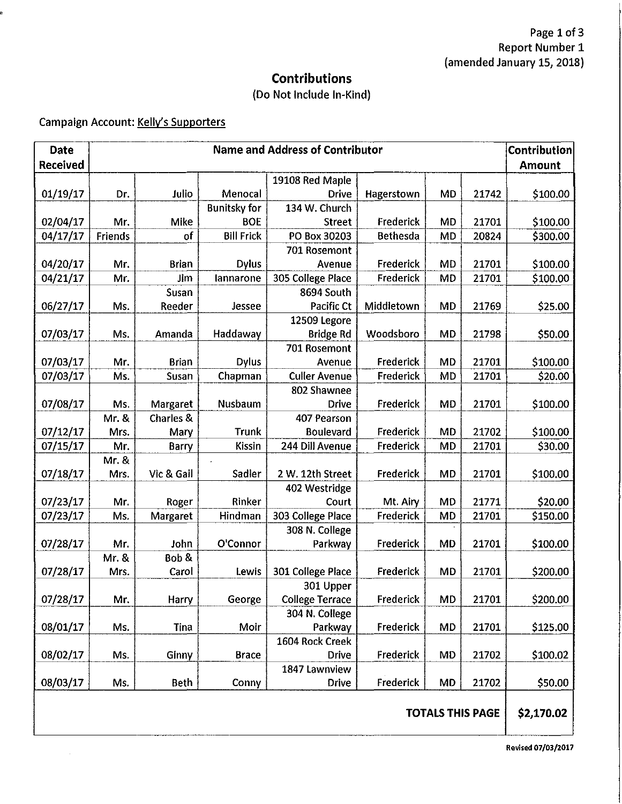### Contributions

## (Do Not Include In-Kind)

## Campaign Account: Kelly's Supporters

| <b>Date</b>             | <b>Name and Address of Contributor</b> |              |                     |                        |                 | Contribution |       |          |
|-------------------------|----------------------------------------|--------------|---------------------|------------------------|-----------------|--------------|-------|----------|
| <b>Received</b>         |                                        |              |                     |                        |                 | Amount       |       |          |
|                         |                                        |              |                     | 19108 Red Maple        |                 |              |       |          |
| 01/19/17                | Dr.                                    | Julio        | Menocal             | <b>Drive</b>           | Hagerstown      | <b>MD</b>    | 21742 | \$100.00 |
|                         |                                        |              | <b>Bunitsky for</b> | 134 W. Church          |                 |              |       |          |
| 02/04/17                | Mr.                                    | Mike         | <b>BOE</b>          | <b>Street</b>          | Frederick       | <b>MD</b>    | 21701 | \$100.00 |
| 04/17/17                | Friends                                | of           | <b>Bill Frick</b>   | PO Box 30203           | <b>Bethesda</b> | <b>MD</b>    | 20824 | \$300.00 |
|                         |                                        |              |                     | 701 Rosemont           |                 |              |       |          |
| 04/20/17                | Mr.                                    | <b>Brian</b> | <b>Dylus</b>        | Avenue                 | Frederick       | <b>MD</b>    | 21701 | \$100.00 |
| 04/21/17                | Mr.                                    | Jim          | lannarone           | 305 College Place      | Frederick       | <b>MD</b>    | 21701 | \$100.00 |
|                         |                                        | Susan        |                     | 8694 South             |                 |              |       |          |
| 06/27/17                | Ms.                                    | Reeder       | Jessee              | Pacific Ct             | Middletown      | <b>MD</b>    | 21769 | \$25.00  |
|                         |                                        |              |                     | 12509 Legore           |                 |              |       |          |
| 07/03/17                | Ms.                                    | Amanda       | Haddaway            | <b>Bridge Rd</b>       | Woodsboro       | <b>MD</b>    | 21798 | \$50.00  |
|                         |                                        |              |                     | 701 Rosemont           |                 |              |       |          |
| 07/03/17                | Mr.                                    | <b>Brian</b> | <b>Dylus</b>        | Avenue                 | Frederick       | MD           | 21701 | \$100.00 |
| 07/03/17                | Ms.                                    | Susan        | Chapman             | <b>Culler Avenue</b>   | Frederick       | <b>MD</b>    | 21701 | \$20.00  |
|                         |                                        |              |                     | 802 Shawnee            |                 |              |       |          |
| 07/08/17                | Ms.                                    | Margaret     | Nusbaum             | Drive                  | Frederick       | <b>MD</b>    | 21701 | \$100.00 |
|                         | Mr. &                                  | Charles &    |                     | 407 Pearson            |                 |              |       |          |
| 07/12/17                | Mrs.                                   | Mary         | Trunk               | <b>Boulevard</b>       | Frederick       | <b>MD</b>    | 21702 | \$100.00 |
| 07/15/17                | Mr.                                    | Barry        | Kissin              | 244 Dill Avenue        | Frederick       | <b>MD</b>    | 21701 | \$30.00  |
|                         | Mr. &                                  |              |                     |                        |                 |              |       |          |
| 07/18/17                | Mrs.                                   | Vic & Gail   | Sadler              | 2 W. 12th Street       | Frederick       | <b>MD</b>    | 21701 | \$100.00 |
|                         |                                        |              |                     | 402 Westridge          |                 |              |       |          |
| 07/23/17                | Mr.                                    | Roger        | Rinker              | Court                  | Mt. Airy        | MD           | 21771 | \$20.00  |
| 07/23/17                | Ms.                                    | Margaret     | Hindman             | 303 College Place      | Frederick       | <b>MD</b>    | 21701 | \$150.00 |
|                         |                                        |              |                     | 308 N. College         |                 |              |       |          |
| 07/28/17                | Mr.                                    | John         | O'Connor            | Parkway                | Frederick       | <b>MD</b>    | 21701 | \$100.00 |
|                         | Mr. &                                  | Bob &        |                     |                        |                 |              |       |          |
| 07/28/17                | Mrs.                                   | Carol        | Lewis               | 301 College Place      | Frederick       | <b>MD</b>    | 21701 | \$200.00 |
|                         |                                        |              |                     | 301 Upper              |                 |              |       |          |
| 07/28/17                | Mr.                                    | Harry        | George              | <b>College Terrace</b> | Frederick       | <b>MD</b>    | 21701 | \$200.00 |
|                         |                                        |              |                     | 304 N. College         |                 |              |       |          |
| 08/01/17                | Ms.                                    | Tina         | Moir                | Parkway                | Frederick       | <b>MD</b>    | 21701 | \$125.00 |
|                         |                                        |              |                     | 1604 Rock Creek        |                 |              |       |          |
| 08/02/17                | Ms.                                    | Ginny        | <b>Brace</b>        | <b>Drive</b>           | Frederick       | <b>MD</b>    | 21702 | \$100.02 |
|                         |                                        |              |                     | 1847 Lawnview          |                 |              |       |          |
| 08/03/17                | Ms.                                    | <b>Beth</b>  | Conny               | <b>Drive</b>           | Frederick       | MD           | 21702 | \$50.00  |
| <b>TOTALS THIS PAGE</b> |                                        |              |                     |                        |                 | \$2,170.02   |       |          |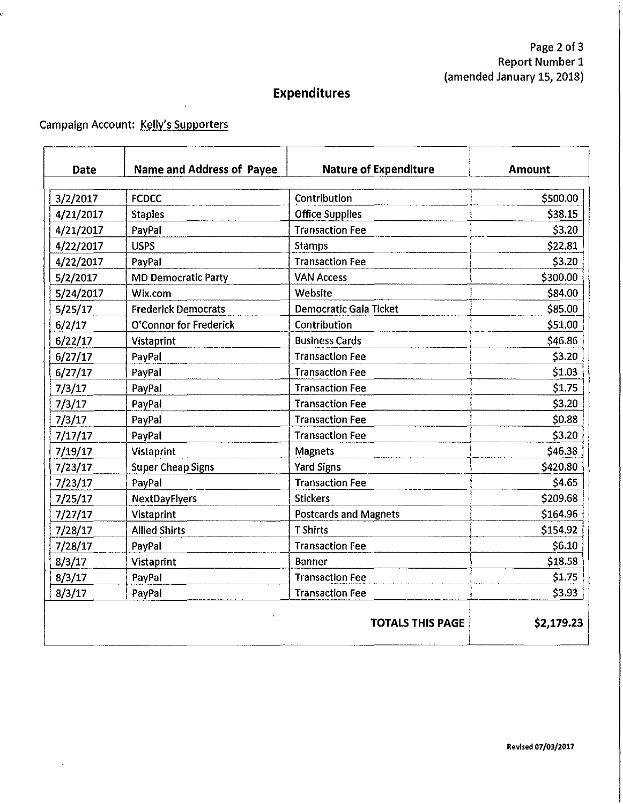# **Expenditures**

### Campaign Account: Kelly's Supporters

 $\cdot$ 

| <b>Date</b>                           | <b>Name and Address of Payee</b> | <b>Nature of Expenditure</b>  | Amount   |  |
|---------------------------------------|----------------------------------|-------------------------------|----------|--|
|                                       |                                  |                               |          |  |
| 3/2/2017                              | <b>FCDCC</b>                     | Contribution                  | \$500.00 |  |
| 4/21/2017                             | <b>Staples</b>                   | <b>Office Supplies</b>        | \$38.15  |  |
| 4/21/2017                             | PayPal                           | <b>Transaction Fee</b>        | \$3.20   |  |
| 4/22/2017                             | <b>USPS</b>                      | <b>Stamps</b>                 | \$22.81  |  |
| 4/22/2017                             | PayPal                           | <b>Transaction Fee</b>        | \$3.20   |  |
| 5/2/2017                              | <b>MD Democratic Party</b>       | <b>VAN Access</b>             | \$300.00 |  |
| 5/24/2017                             | Wix.com                          | Website                       | \$84.00  |  |
| 5/25/17                               | <b>Frederick Democrats</b>       | <b>Democratic Gala Ticket</b> | \$85.00  |  |
| 6/2/17                                | O'Connor for Frederick           | Contribution                  | \$51.00  |  |
| 6/22/17                               | <b>Vistaprint</b>                | <b>Business Cards</b>         | \$46.86  |  |
| 6/27/17                               | PayPal                           | <b>Transaction Fee</b>        | \$3.20   |  |
| 6/27/17                               | PayPal                           | <b>Transaction Fee</b>        | \$1.03   |  |
| 7/3/17                                | PayPal                           | <b>Transaction Fee</b>        | \$1.75   |  |
| 7/3/17                                | PayPal                           | <b>Transaction Fee</b>        | \$3.20   |  |
| 7/3/17                                | PayPal                           | <b>Transaction Fee</b>        | \$0.88   |  |
| 7/17/17                               | PayPal                           | <b>Transaction Fee</b>        | \$3.20   |  |
| 7/19/17                               | <b>Vistaprint</b>                | <b>Magnets</b>                | \$46.38  |  |
| 7/23/17                               | <b>Super Cheap Signs</b>         | <b>Yard Signs</b>             | \$420.80 |  |
| 7/23/17                               | PayPal                           | <b>Transaction Fee</b>        | \$4.65   |  |
| 7/25/17                               | NextDayFlyers                    | <b>Stickers</b>               | \$209.68 |  |
| 7/27/17                               | Vistaprint                       | <b>Postcards and Magnets</b>  | \$164.96 |  |
| 7/28/17                               | <b>Allied Shirts</b>             | <b>T</b> Shirts               | \$154.92 |  |
| 7/28/17                               | PayPal                           | <b>Transaction Fee</b>        | \$6.10   |  |
| 8/3/17                                | Vistaprint                       | Banner                        | \$18.58  |  |
| 8/3/17                                | PayPal                           | <b>Transaction Fee</b>        | \$1.75   |  |
| 8/3/17                                | PayPal                           | <b>Transaction Fee</b>        | \$3.93   |  |
| <b>TOTALS THIS PAGE</b><br>\$2,179.23 |                                  |                               |          |  |